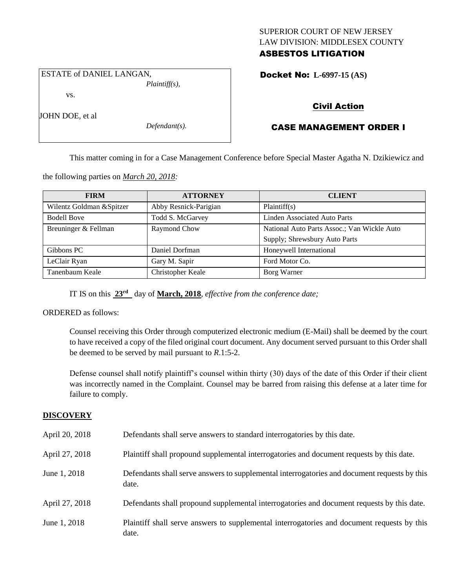## SUPERIOR COURT OF NEW JERSEY LAW DIVISION: MIDDLESEX COUNTY ASBESTOS LITIGATION

ESTATE of DANIEL LANGAN, *Plaintiff(s),*

vs.

JOHN DOE, et al

*Defendant(s).*

## Docket No: **L-6997-15 (AS)**

# Civil Action

# CASE MANAGEMENT ORDER I

This matter coming in for a Case Management Conference before Special Master Agatha N. Dzikiewicz and

the following parties on *March 20, 2018:*

| <b>FIRM</b>               | <b>ATTORNEY</b>       | <b>CLIENT</b>                               |  |  |
|---------------------------|-----------------------|---------------------------------------------|--|--|
| Wilentz Goldman & Spitzer | Abby Resnick-Parigian | Plaintiff(s)                                |  |  |
| <b>Bodell Bove</b>        | Todd S. McGarvey      | <b>Linden Associated Auto Parts</b>         |  |  |
| Breuninger & Fellman      | Raymond Chow          | National Auto Parts Assoc.; Van Wickle Auto |  |  |
|                           |                       | Supply; Shrewsbury Auto Parts               |  |  |
| Gibbons PC                | Daniel Dorfman        | Honeywell International                     |  |  |
| LeClair Ryan              | Gary M. Sapir         | Ford Motor Co.                              |  |  |
| Tanenbaum Keale           | Christopher Keale     | Borg Warner                                 |  |  |

IT IS on this **23rd** day of **March, 2018**, *effective from the conference date;*

ORDERED as follows:

Counsel receiving this Order through computerized electronic medium (E-Mail) shall be deemed by the court to have received a copy of the filed original court document. Any document served pursuant to this Order shall be deemed to be served by mail pursuant to *R*.1:5-2.

Defense counsel shall notify plaintiff's counsel within thirty (30) days of the date of this Order if their client was incorrectly named in the Complaint. Counsel may be barred from raising this defense at a later time for failure to comply.

## **DISCOVERY**

| April 20, 2018 | Defendants shall serve answers to standard interrogatories by this date.                              |
|----------------|-------------------------------------------------------------------------------------------------------|
| April 27, 2018 | Plaintiff shall propound supplemental interrogatories and document requests by this date.             |
| June 1, 2018   | Defendants shall serve answers to supplemental interrogatories and document requests by this<br>date. |
| April 27, 2018 | Defendants shall propound supplemental interrogatories and document requests by this date.            |
| June 1, 2018   | Plaintiff shall serve answers to supplemental interrogatories and document requests by this<br>date.  |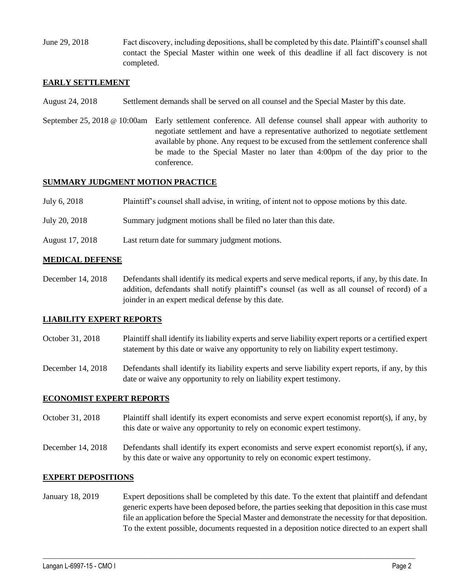June 29, 2018 Fact discovery, including depositions, shall be completed by this date. Plaintiff's counsel shall contact the Special Master within one week of this deadline if all fact discovery is not completed.

### **EARLY SETTLEMENT**

- August 24, 2018 Settlement demands shall be served on all counsel and the Special Master by this date.
- September 25, 2018 @ 10:00am Early settlement conference. All defense counsel shall appear with authority to negotiate settlement and have a representative authorized to negotiate settlement available by phone. Any request to be excused from the settlement conference shall be made to the Special Master no later than 4:00pm of the day prior to the conference.

### **SUMMARY JUDGMENT MOTION PRACTICE**

| July 6, 2018 | Plaintiff's counsel shall advise, in writing, of intent not to oppose motions by this date. |  |  |
|--------------|---------------------------------------------------------------------------------------------|--|--|
|              |                                                                                             |  |  |

- July 20, 2018 Summary judgment motions shall be filed no later than this date.
- August 17, 2018 Last return date for summary judgment motions.

### **MEDICAL DEFENSE**

December 14, 2018 Defendants shall identify its medical experts and serve medical reports, if any, by this date. In addition, defendants shall notify plaintiff's counsel (as well as all counsel of record) of a joinder in an expert medical defense by this date.

## **LIABILITY EXPERT REPORTS**

- October 31, 2018 Plaintiff shall identify its liability experts and serve liability expert reports or a certified expert statement by this date or waive any opportunity to rely on liability expert testimony.
- December 14, 2018 Defendants shall identify its liability experts and serve liability expert reports, if any, by this date or waive any opportunity to rely on liability expert testimony.

#### **ECONOMIST EXPERT REPORTS**

- October 31, 2018 Plaintiff shall identify its expert economists and serve expert economist report(s), if any, by this date or waive any opportunity to rely on economic expert testimony.
- December 14, 2018 Defendants shall identify its expert economists and serve expert economist report(s), if any, by this date or waive any opportunity to rely on economic expert testimony.

#### **EXPERT DEPOSITIONS**

January 18, 2019 Expert depositions shall be completed by this date. To the extent that plaintiff and defendant generic experts have been deposed before, the parties seeking that deposition in this case must file an application before the Special Master and demonstrate the necessity for that deposition. To the extent possible, documents requested in a deposition notice directed to an expert shall

 $\_$  ,  $\_$  ,  $\_$  ,  $\_$  ,  $\_$  ,  $\_$  ,  $\_$  ,  $\_$  ,  $\_$  ,  $\_$  ,  $\_$  ,  $\_$  ,  $\_$  ,  $\_$  ,  $\_$  ,  $\_$  ,  $\_$  ,  $\_$  ,  $\_$  ,  $\_$  ,  $\_$  ,  $\_$  ,  $\_$  ,  $\_$  ,  $\_$  ,  $\_$  ,  $\_$  ,  $\_$  ,  $\_$  ,  $\_$  ,  $\_$  ,  $\_$  ,  $\_$  ,  $\_$  ,  $\_$  ,  $\_$  ,  $\_$  ,